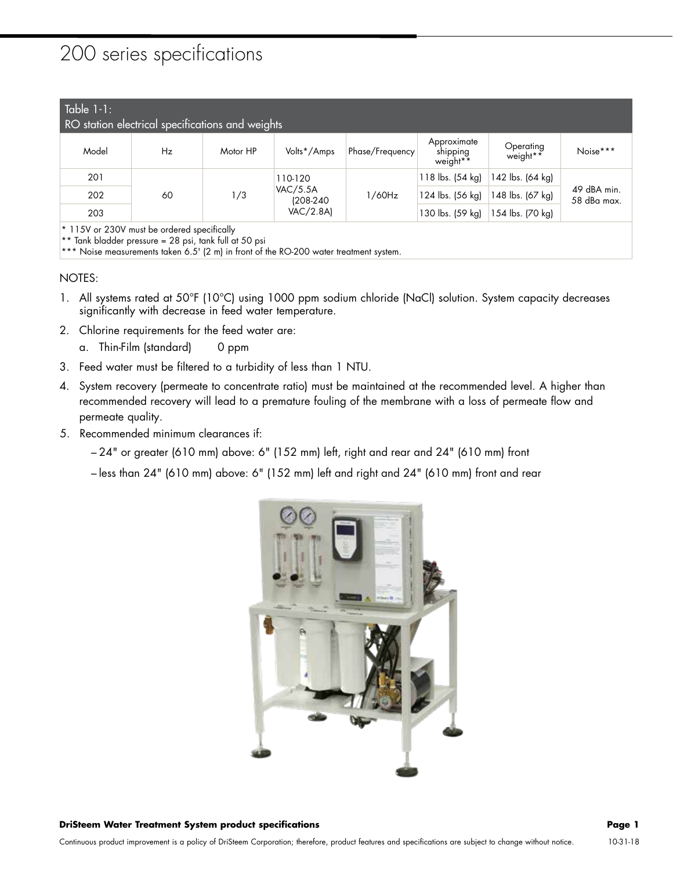## 200 series specifications

## Table 1-1:

| $I^{\text{UUU}}$ $I^{\text{I}}$<br>RO station electrical specifications and weights |    |          |                                                      |                 |                                                 |                       |                            |  |  |
|-------------------------------------------------------------------------------------|----|----------|------------------------------------------------------|-----------------|-------------------------------------------------|-----------------------|----------------------------|--|--|
| Model                                                                               | Hz | Motor HP | Volts*/Amps                                          | Phase/Frequency | Approximate<br>shipping<br>weight <sup>**</sup> | Operating<br>weight** | Noise***                   |  |  |
| 201                                                                                 | 60 | 1/3      | 110-120<br><b>VAC/5.5A</b><br>(208-240)<br>VAC/2.8A) | 1/60Hz          | 118 lbs. (54 kg)                                | 142 lbs. (64 kg)      | 49 dBA min.<br>58 dBa max. |  |  |
| 202                                                                                 |    |          |                                                      |                 | 124 lbs. (56 kg)                                | 148 lbs. (67 kg)      |                            |  |  |
| 203                                                                                 |    |          |                                                      |                 | 130 lbs. (59 kg)                                | 154 lbs. (70 kg)      |                            |  |  |
| * 115V or 230V must be ordered specifically                                         |    |          |                                                      |                 |                                                 |                       |                            |  |  |

\*\* Tank bladder pressure = 28 psi, tank full at 50 psi

\*\*\* Noise measurements taken 6.5' (2 m) in front of the RO-200 water treatment system.

## NOTES:

- 1. All systems rated at 50°F (10°C) using 1000 ppm sodium chloride (NaCl) solution. System capacity decreases significantly with decrease in feed water temperature.
- 2. Chlorine requirements for the feed water are:
	- a. Thin-Film (standard) 0 ppm
- 3. Feed water must be filtered to a turbidity of less than 1 NTU.
- 4. System recovery (permeate to concentrate ratio) must be maintained at the recommended level. A higher than recommended recovery will lead to a premature fouling of the membrane with a loss of permeate flow and permeate quality.
- 5. Recommended minimum clearances if:
	- 24" or greater (610 mm) above: 6" (152 mm) left, right and rear and 24" (610 mm) front
	- less than 24" (610 mm) above: 6" (152 mm) left and right and 24" (610 mm) front and rear